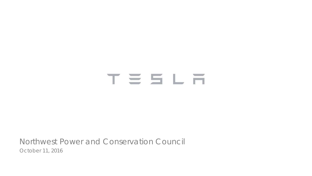# TESLA

Northwest Power and Conservation Council October 11, 2016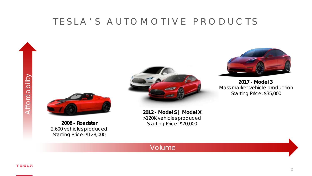#### TESLA'S AUTOMOTIVE PRODUCTS

Affordability Affordability







**2017 - Model 3**  *Mass market vehicle production Starting Price: \$35,000*

**2008 - Roadster** *2,600 vehicles produced Starting Price: \$128,000*

Volume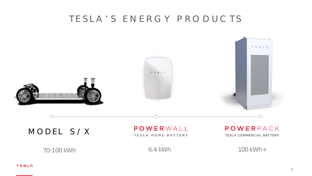#### TESLA'S ENERGY PRODUCTS

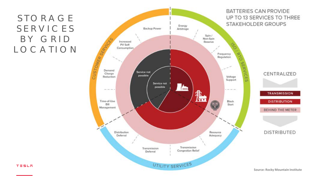# STORAGE SERVICES BY GRID LOCATION

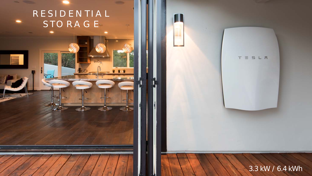# RESIDENTIAL STORAGE

 $\mathbf{u}$ 

#### 3.3 kW / 6.4 kWh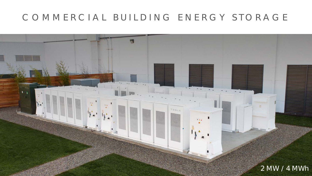# COMMERCIAL BUILDING ENERGY STORAGE

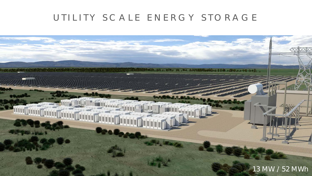# UTILITY SCALE ENERGY STORAGE

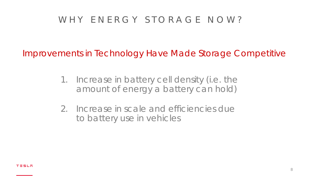# WHY ENERGY STORAGE NOW?

Improvements in Technology Have Made Storage Competitive

- 1. Increase in battery cell density (i.e. the amount of energy a battery can hold)
- 2. Increase in scale and efficiencies due to battery use in vehicles

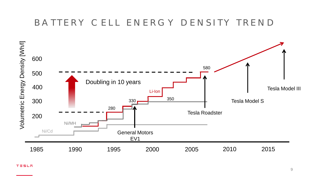#### BATTERY CELL ENERGY DENSITY TREND

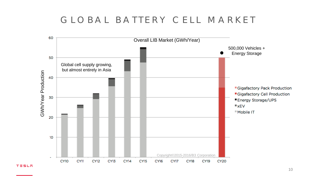#### GLOBAL BATTERY CELL MARKET

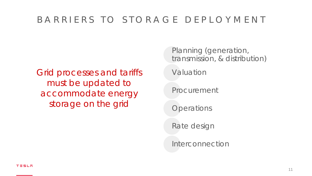#### BARRIERS TO STORAGE DEPLOYMENT

Grid processes and tariffs must be updated to accommodate energy storage on the grid

Planning (generation, transmission, & distribution)

Valuation

Procurement

**Operations** 

Rate design

Interconnection